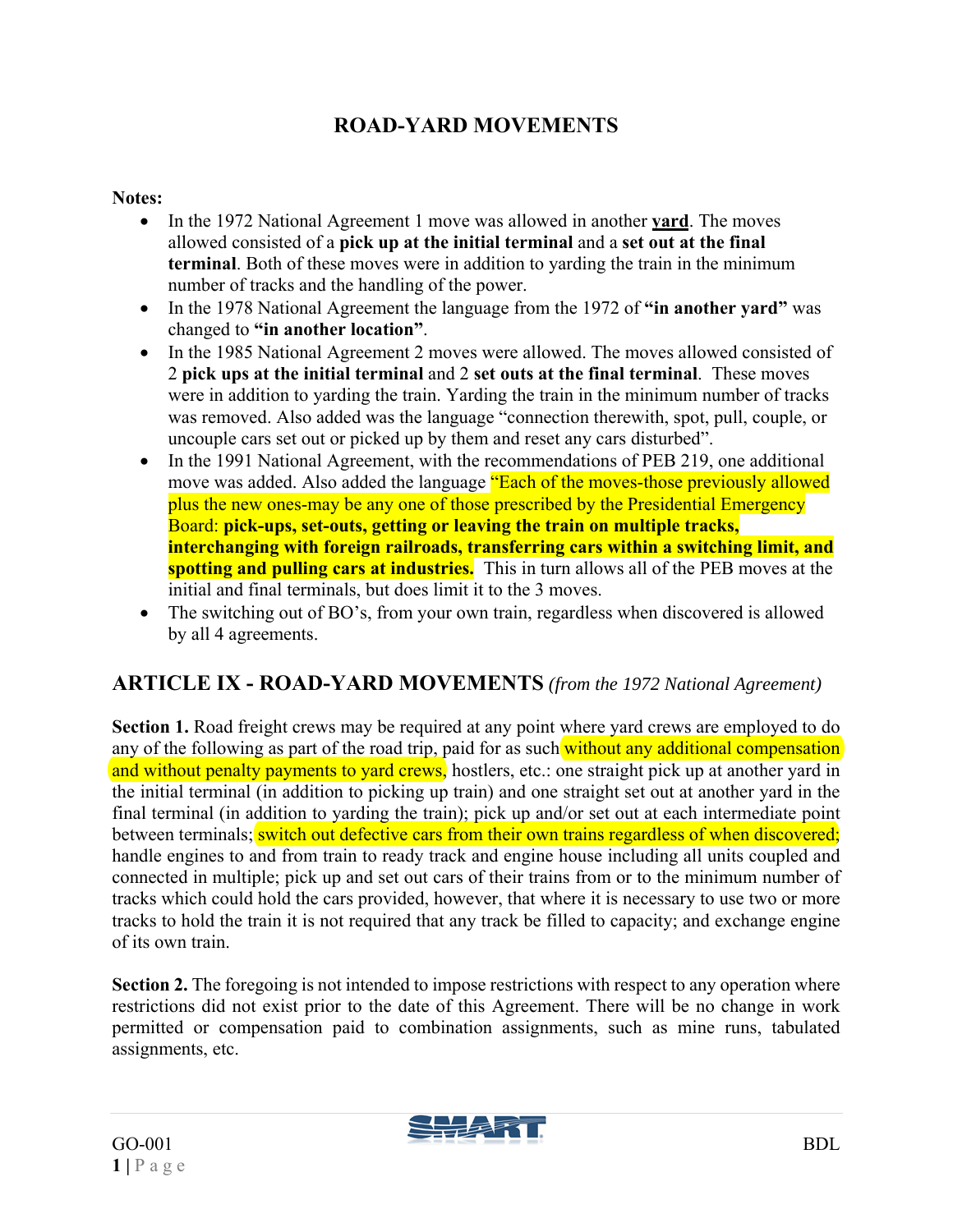## **ROAD-YARD MOVEMENTS**

#### **Notes:**

- In the 1972 National Agreement 1 move was allowed in another **yard**. The moves allowed consisted of a **pick up at the initial terminal** and a **set out at the final terminal**. Both of these moves were in addition to yarding the train in the minimum number of tracks and the handling of the power.
- In the 1978 National Agreement the language from the 1972 of "in another yard" was changed to **"in another location"**.
- In the 1985 National Agreement 2 moves were allowed. The moves allowed consisted of 2 **pick ups at the initial terminal** and 2 **set outs at the final terminal**. These moves were in addition to yarding the train. Yarding the train in the minimum number of tracks was removed. Also added was the language "connection therewith, spot, pull, couple, or uncouple cars set out or picked up by them and reset any cars disturbed".
- In the 1991 National Agreement, with the recommendations of PEB 219, one additional move was added. Also added the language "Each of the moves-those previously allowed plus the new ones-may be any one of those prescribed by the Presidential Emergency Board: **pick-ups, set-outs, getting or leaving the train on multiple tracks, interchanging with foreign railroads, transferring cars within a switching limit, and spotting and pulling cars at industries.** This in turn allows all of the PEB moves at the initial and final terminals, but does limit it to the 3 moves.
- The switching out of BO's, from your own train, regardless when discovered is allowed by all 4 agreements.

### **ARTICLE IX - ROAD-YARD MOVEMENTS** *(from the 1972 National Agreement)*

**Section 1.** Road freight crews may be required at any point where yard crews are employed to do any of the following as part of the road trip, paid for as such without any additional compensation and without penalty payments to yard crews, hostlers, etc.: one straight pick up at another yard in the initial terminal (in addition to picking up train) and one straight set out at another yard in the final terminal (in addition to yarding the train); pick up and/or set out at each intermediate point between terminals; switch out defective cars from their own trains regardless of when discovered; handle engines to and from train to ready track and engine house including all units coupled and connected in multiple; pick up and set out cars of their trains from or to the minimum number of tracks which could hold the cars provided, however, that where it is necessary to use two or more tracks to hold the train it is not required that any track be filled to capacity; and exchange engine of its own train.

**Section 2.** The foregoing is not intended to impose restrictions with respect to any operation where restrictions did not exist prior to the date of this Agreement. There will be no change in work permitted or compensation paid to combination assignments, such as mine runs, tabulated assignments, etc.

SSSS 11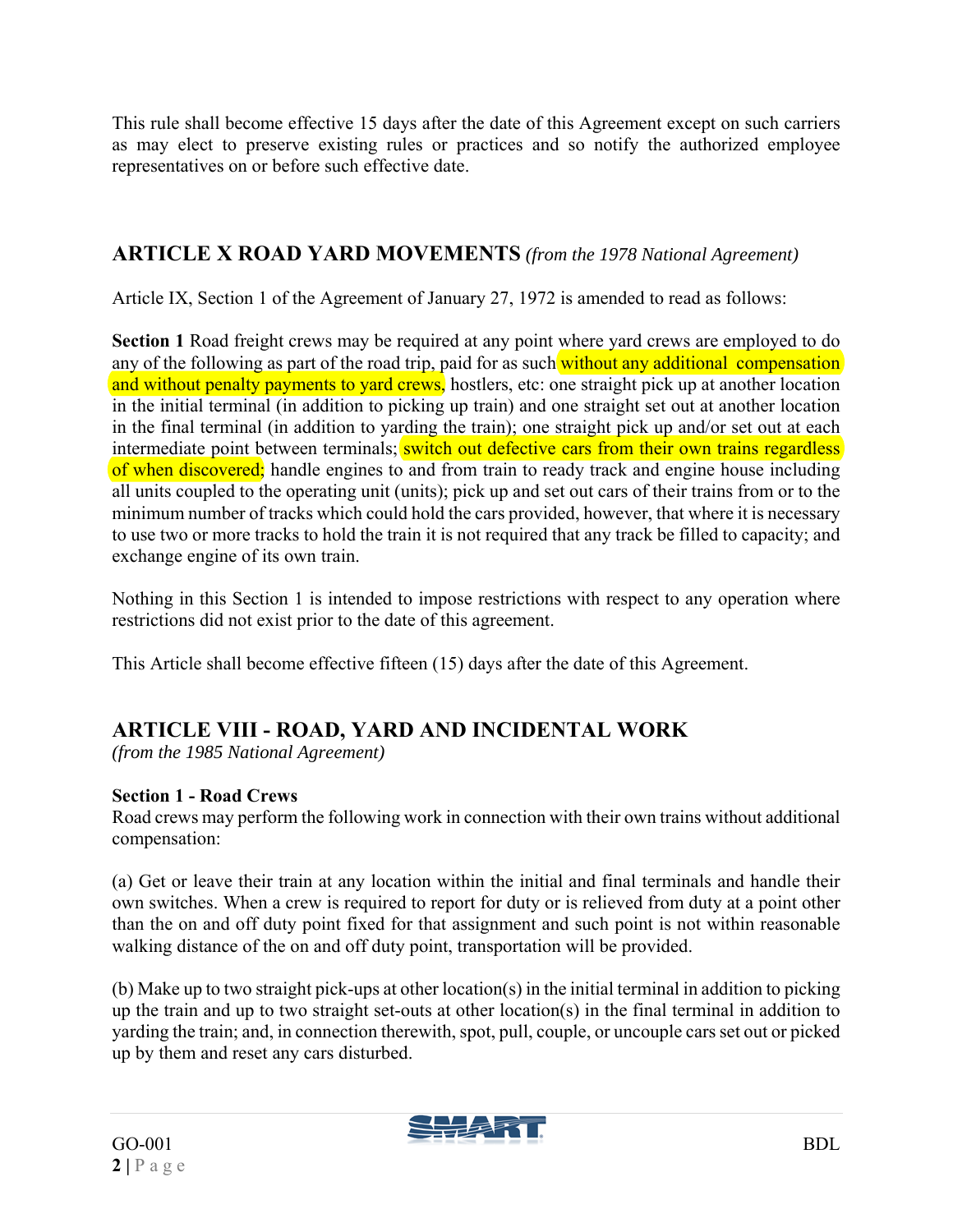This rule shall become effective 15 days after the date of this Agreement except on such carriers as may elect to preserve existing rules or practices and so notify the authorized employee representatives on or before such effective date.

### **ARTICLE X ROAD YARD MOVEMENTS** *(from the 1978 National Agreement)*

Article IX, Section 1 of the Agreement of January 27, 1972 is amended to read as follows:

**Section 1** Road freight crews may be required at any point where yard crews are employed to do any of the following as part of the road trip, paid for as such without any additional compensation and without penalty payments to yard crews, hostlers, etc: one straight pick up at another location in the initial terminal (in addition to picking up train) and one straight set out at another location in the final terminal (in addition to yarding the train); one straight pick up and/or set out at each intermediate point between terminals; **switch out defective cars from their own trains regardless** of when discovered; handle engines to and from train to ready track and engine house including all units coupled to the operating unit (units); pick up and set out cars of their trains from or to the minimum number of tracks which could hold the cars provided, however, that where it is necessary to use two or more tracks to hold the train it is not required that any track be filled to capacity; and exchange engine of its own train.

Nothing in this Section 1 is intended to impose restrictions with respect to any operation where restrictions did not exist prior to the date of this agreement.

This Article shall become effective fifteen (15) days after the date of this Agreement.

## **ARTICLE VIII - ROAD, YARD AND INCIDENTAL WORK**

*(from the 1985 National Agreement)* 

#### **Section 1 - Road Crews**

Road crews may perform the following work in connection with their own trains without additional compensation:

(a) Get or leave their train at any location within the initial and final terminals and handle their own switches. When a crew is required to report for duty or is relieved from duty at a point other than the on and off duty point fixed for that assignment and such point is not within reasonable walking distance of the on and off duty point, transportation will be provided.

(b) Make up to two straight pick-ups at other location(s) in the initial terminal in addition to picking up the train and up to two straight set-outs at other location(s) in the final terminal in addition to yarding the train; and, in connection therewith, spot, pull, couple, or uncouple cars set out or picked up by them and reset any cars disturbed.

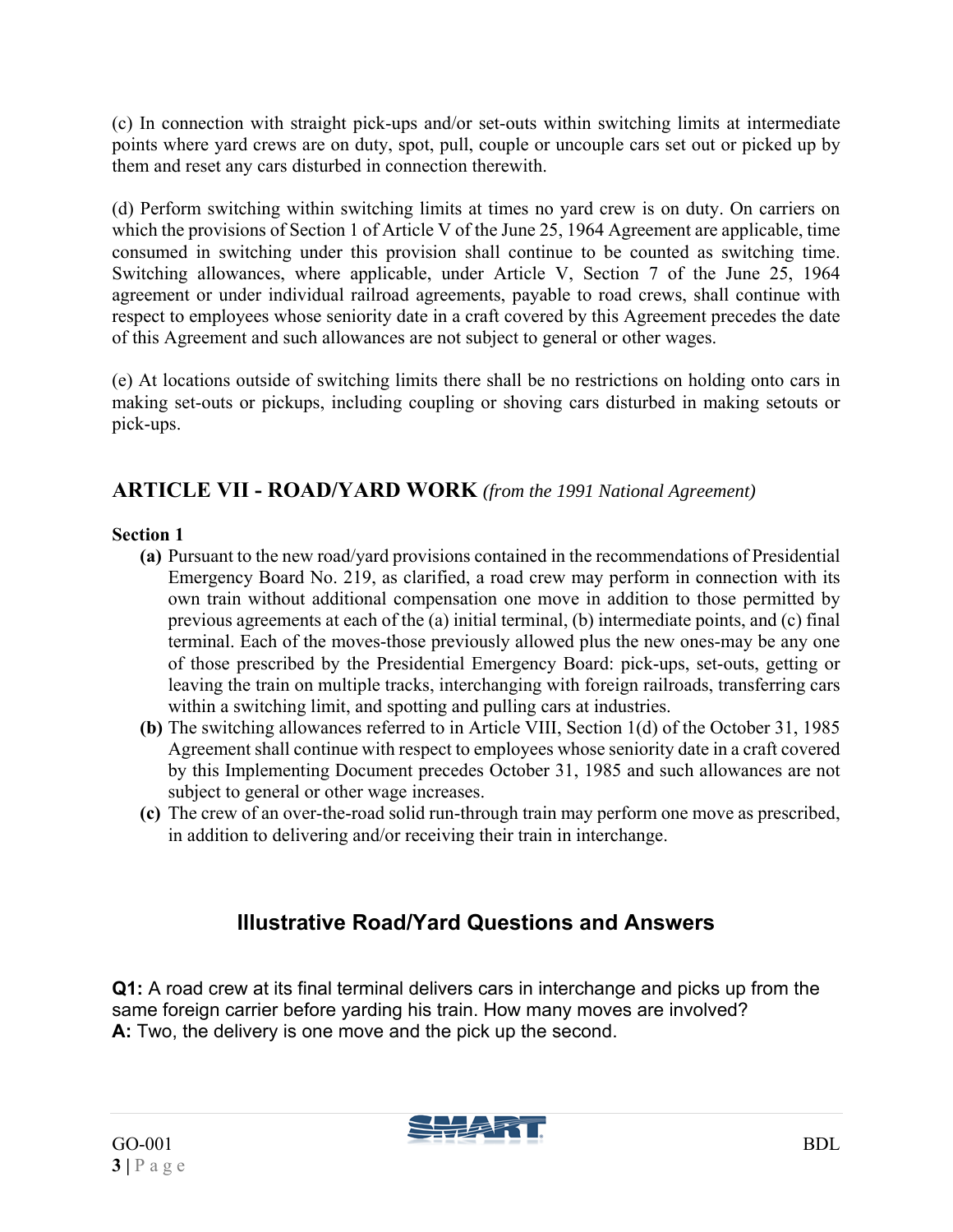(c) In connection with straight pick-ups and/or set-outs within switching limits at intermediate points where yard crews are on duty, spot, pull, couple or uncouple cars set out or picked up by them and reset any cars disturbed in connection therewith.

(d) Perform switching within switching limits at times no yard crew is on duty. On carriers on which the provisions of Section 1 of Article V of the June 25, 1964 Agreement are applicable, time consumed in switching under this provision shall continue to be counted as switching time. Switching allowances, where applicable, under Article V, Section 7 of the June 25, 1964 agreement or under individual railroad agreements, payable to road crews, shall continue with respect to employees whose seniority date in a craft covered by this Agreement precedes the date of this Agreement and such allowances are not subject to general or other wages.

(e) At locations outside of switching limits there shall be no restrictions on holding onto cars in making set-outs or pickups, including coupling or shoving cars disturbed in making setouts or pick-ups.

### **ARTICLE VII - ROAD/YARD WORK** *(from the 1991 National Agreement)*

#### **Section 1**

- **(a)** Pursuant to the new road/yard provisions contained in the recommendations of Presidential Emergency Board No. 219, as clarified, a road crew may perform in connection with its own train without additional compensation one move in addition to those permitted by previous agreements at each of the (a) initial terminal, (b) intermediate points, and (c) final terminal. Each of the moves-those previously allowed plus the new ones-may be any one of those prescribed by the Presidential Emergency Board: pick-ups, set-outs, getting or leaving the train on multiple tracks, interchanging with foreign railroads, transferring cars within a switching limit, and spotting and pulling cars at industries.
- **(b)** The switching allowances referred to in Article VIII, Section 1(d) of the October 31, 1985 Agreement shall continue with respect to employees whose seniority date in a craft covered by this Implementing Document precedes October 31, 1985 and such allowances are not subject to general or other wage increases.
- **(c)** The crew of an over-the-road solid run-through train may perform one move as prescribed, in addition to delivering and/or receiving their train in interchange.

# **Illustrative Road/Yard Questions and Answers**

**Q1:** A road crew at its final terminal delivers cars in interchange and picks up from the same foreign carrier before yarding his train. How many moves are involved? **A:** Two, the delivery is one move and the pick up the second.

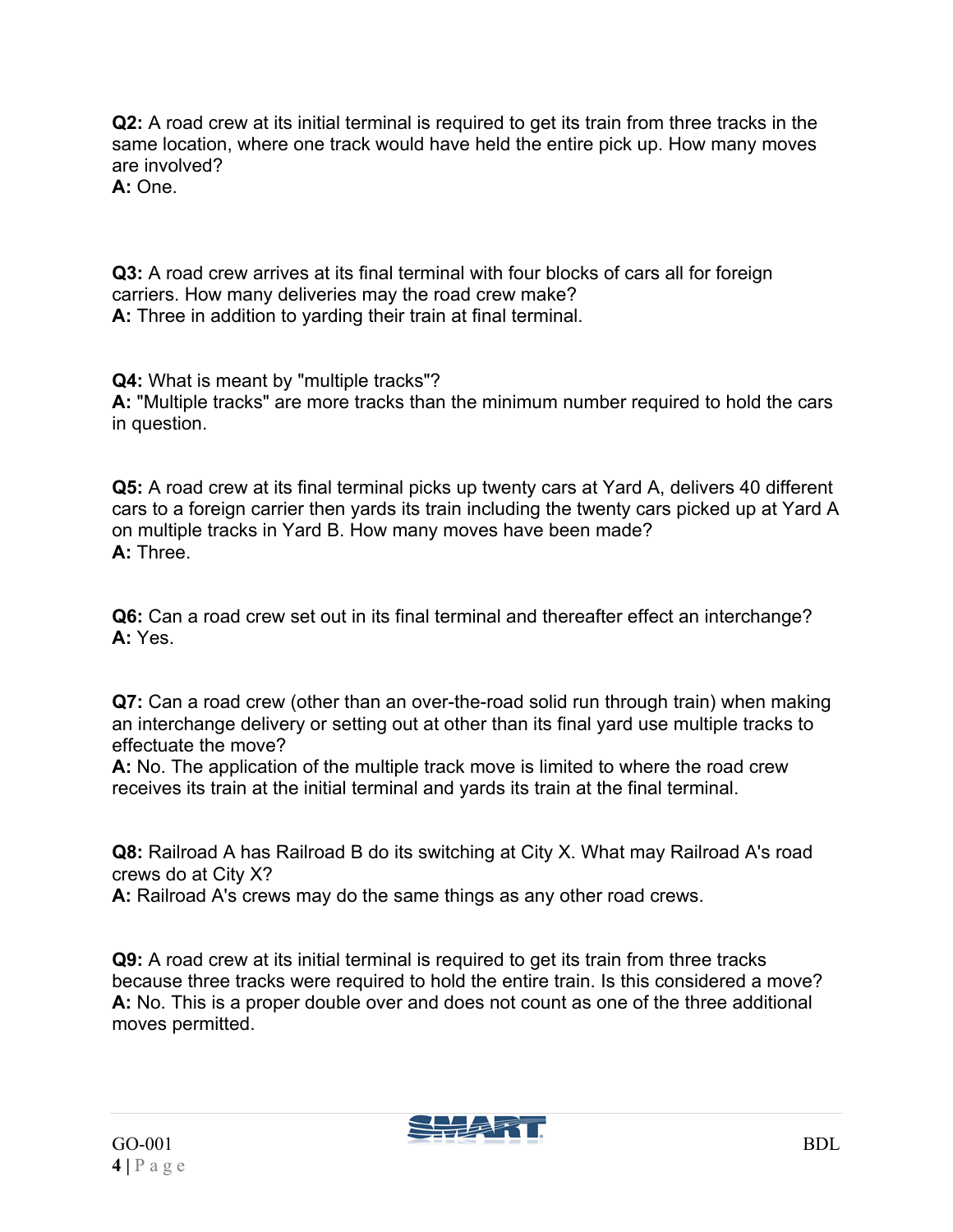**Q2:** A road crew at its initial terminal is required to get its train from three tracks in the same location, where one track would have held the entire pick up. How many moves are involved?

**A:** One.

**Q3:** A road crew arrives at its final terminal with four blocks of cars all for foreign carriers. How many deliveries may the road crew make? **A:** Three in addition to yarding their train at final terminal.

**Q4:** What is meant by "multiple tracks"? **A:** "Multiple tracks" are more tracks than the minimum number required to hold the cars in question.

**Q5:** A road crew at its final terminal picks up twenty cars at Yard A, delivers 40 different cars to a foreign carrier then yards its train including the twenty cars picked up at Yard A on multiple tracks in Yard B. How many moves have been made? **A:** Three.

**Q6:** Can a road crew set out in its final terminal and thereafter effect an interchange? **A:** Yes.

**Q7:** Can a road crew (other than an over-the-road solid run through train) when making an interchange delivery or setting out at other than its final yard use multiple tracks to effectuate the move?

**A:** No. The application of the multiple track move is limited to where the road crew receives its train at the initial terminal and yards its train at the final terminal.

**Q8:** Railroad A has Railroad B do its switching at City X. What may Railroad A's road crews do at City X?

**A:** Railroad A's crews may do the same things as any other road crews.

**Q9:** A road crew at its initial terminal is required to get its train from three tracks because three tracks were required to hold the entire train. Is this considered a move? **A:** No. This is a proper double over and does not count as one of the three additional moves permitted.